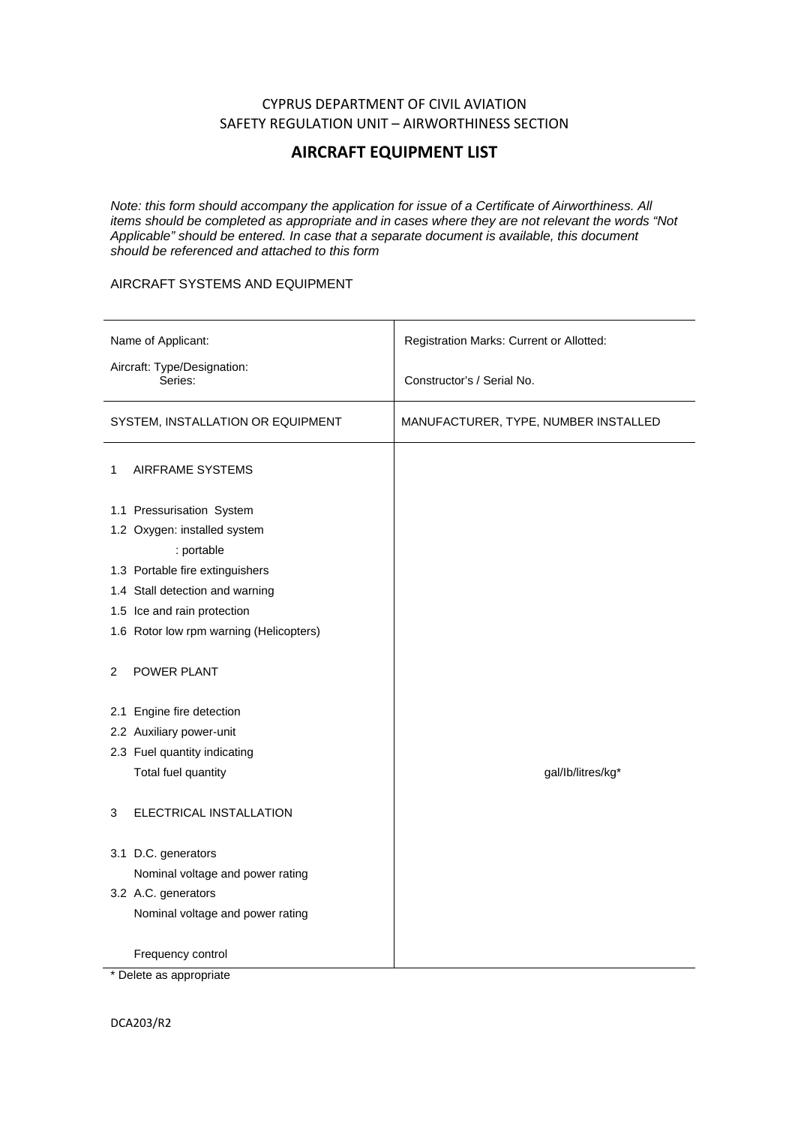## CYPRUS DEPARTMENT OF CIVIL AVIATION SAFETY REGULATION UNIT – AIRWORTHINESS SECTION

## **AIRCRAFT EQUIPMENT LIST**

*Note: this form should accompany the application for issue of a Certificate of Airworthiness. All items should be completed as appropriate and in cases where they are not relevant the words "Not Applicable" should be entered. In case that a separate document is available, this document should be referenced and attached to this form*

## AIRCRAFT SYSTEMS AND EQUIPMENT

| Name of Applicant:                      | Registration Marks: Current or Allotted: |
|-----------------------------------------|------------------------------------------|
| Aircraft: Type/Designation:<br>Series:  | Constructor's / Serial No.               |
| SYSTEM, INSTALLATION OR EQUIPMENT       | MANUFACTURER, TYPE, NUMBER INSTALLED     |
| AIRFRAME SYSTEMS<br>1                   |                                          |
| 1.1 Pressurisation System               |                                          |
| 1.2 Oxygen: installed system            |                                          |
| : portable                              |                                          |
| 1.3 Portable fire extinguishers         |                                          |
| 1.4 Stall detection and warning         |                                          |
| 1.5 Ice and rain protection             |                                          |
| 1.6 Rotor low rpm warning (Helicopters) |                                          |
| <b>POWER PLANT</b><br>2                 |                                          |
| 2.1 Engine fire detection               |                                          |
| 2.2 Auxiliary power-unit                |                                          |
| 2.3 Fuel quantity indicating            |                                          |
| Total fuel quantity                     | gal/lb/litres/kg*                        |
| ELECTRICAL INSTALLATION<br>3            |                                          |
| 3.1 D.C. generators                     |                                          |
| Nominal voltage and power rating        |                                          |
| 3.2 A.C. generators                     |                                          |
| Nominal voltage and power rating        |                                          |
| Frequency control                       |                                          |
| * Delete as appropriate                 |                                          |

DCA203/R2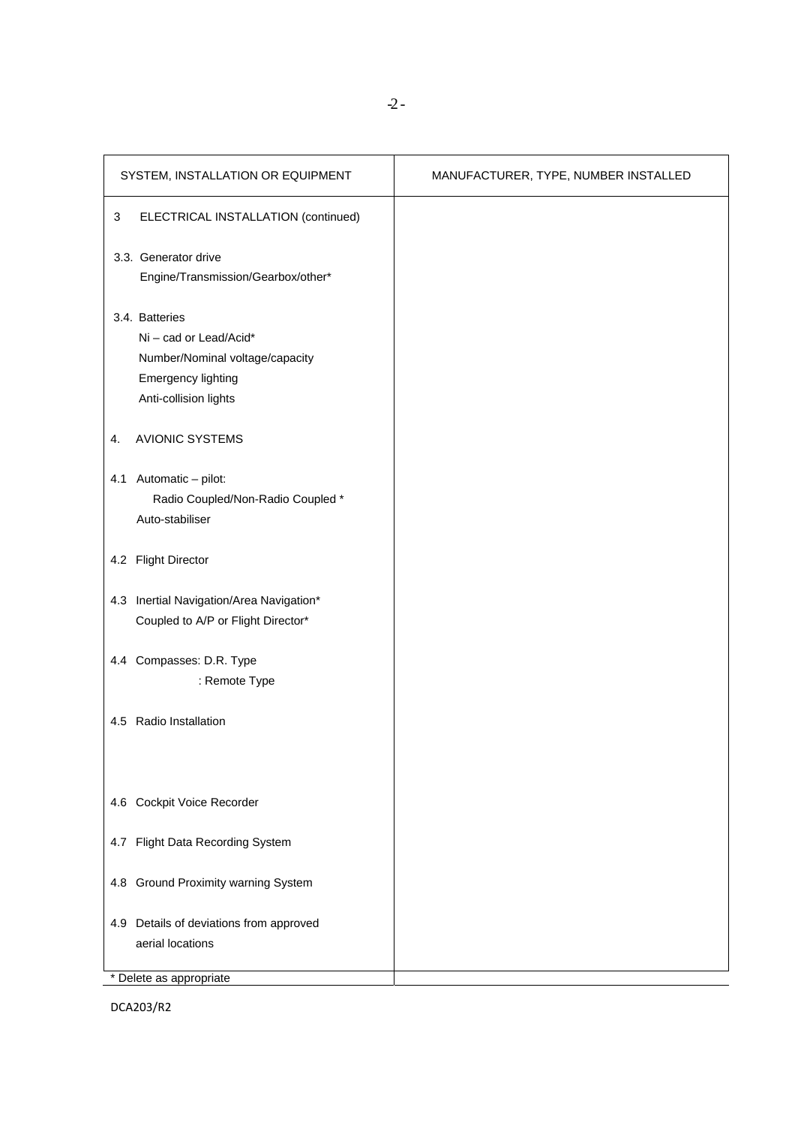| SYSTEM, INSTALLATION OR EQUIPMENT                                                                                                 | MANUFACTURER, TYPE, NUMBER INSTALLED |
|-----------------------------------------------------------------------------------------------------------------------------------|--------------------------------------|
| ELECTRICAL INSTALLATION (continued)<br>3                                                                                          |                                      |
| 3.3. Generator drive<br>Engine/Transmission/Gearbox/other*                                                                        |                                      |
| 3.4. Batteries<br>Ni - cad or Lead/Acid*<br>Number/Nominal voltage/capacity<br><b>Emergency lighting</b><br>Anti-collision lights |                                      |
| <b>AVIONIC SYSTEMS</b><br>4.                                                                                                      |                                      |
| 4.1 Automatic - pilot:<br>Radio Coupled/Non-Radio Coupled *<br>Auto-stabiliser                                                    |                                      |
| 4.2 Flight Director                                                                                                               |                                      |
| 4.3 Inertial Navigation/Area Navigation*<br>Coupled to A/P or Flight Director*                                                    |                                      |
| 4.4 Compasses: D.R. Type<br>: Remote Type                                                                                         |                                      |
| 4.5 Radio Installation                                                                                                            |                                      |
| 4.6 Cockpit Voice Recorder                                                                                                        |                                      |
| 4.7 Flight Data Recording System                                                                                                  |                                      |
| 4.8 Ground Proximity warning System                                                                                               |                                      |
| 4.9 Details of deviations from approved<br>aerial locations                                                                       |                                      |
| * Delete as appropriate                                                                                                           |                                      |

DCA203/R2